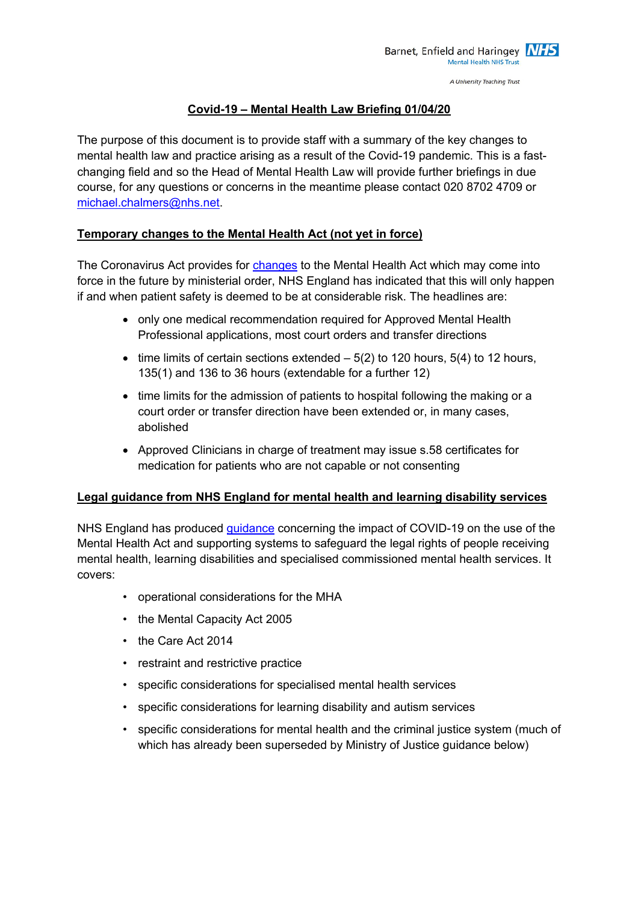A University Teaching Trust

# **Covid-19 – Mental Health Law Briefing 01/04/20**

The purpose of this document is to provide staff with a summary of the key changes to mental health law and practice arising as a result of the Covid-19 pandemic. This is a fastchanging field and so the Head of Mental Health Law will provide further briefings in due course, for any questions or concerns in the meantime please contact 020 8702 4709 or michael.chalmers@nhs.net.

## **Temporary changes to the Mental Health Act (not yet in force)**

The Coronavirus Act provides for changes to the Mental Health Act which may come into force in the future by ministerial order, NHS England has indicated that this will only happen if and when patient safety is deemed to be at considerable risk. The headlines are:

- only one medical recommendation required for Approved Mental Health Professional applications, most court orders and transfer directions
- time limits of certain sections extended  $-5(2)$  to 120 hours, 5(4) to 12 hours, 135(1) and 136 to 36 hours (extendable for a further 12)
- time limits for the admission of patients to hospital following the making or a court order or transfer direction have been extended or, in many cases, abolished
- Approved Clinicians in charge of treatment may issue s.58 certificates for medication for patients who are not capable or not consenting

### **Legal guidance from NHS England for mental health and learning disability services**

NHS England has produced guidance concerning the impact of COVID-19 on the use of the Mental Health Act and supporting systems to safeguard the legal rights of people receiving mental health, learning disabilities and specialised commissioned mental health services. It covers:

- operational considerations for the MHA
- the Mental Capacity Act 2005
- the Care Act 2014
- restraint and restrictive practice
- specific considerations for specialised mental health services
- specific considerations for learning disability and autism services
- specific considerations for mental health and the criminal justice system (much of which has already been superseded by Ministry of Justice guidance below)